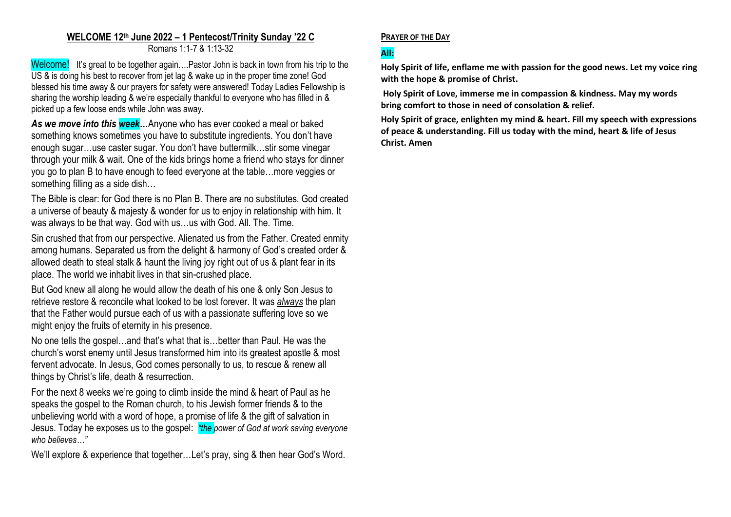# **WELCOME 12th June 2022 – 1 Pentecost/Trinity Sunday '22 C**

Romans 1:1-7 & 1:13-32

Welcome! It's great to be together again....Pastor John is back in town from his trip to the US & is doing his best to recover from jet lag & wake up in the proper time zone! God blessed his time away & our prayers for safety were answered! Today Ladies Fellowship is sharing the worship leading & we're especially thankful to everyone who has filled in & picked up a few loose ends while John was away.

*As we move into this week…*Anyone who has ever cooked a meal or baked something knows sometimes you have to substitute ingredients. You don't have enough sugar…use caster sugar. You don't have buttermilk…stir some vinegar through your milk & wait. One of the kids brings home a friend who stays for dinner you go to plan B to have enough to feed everyone at the table…more veggies or something filling as a side dish…

The Bible is clear: for God there is no Plan B. There are no substitutes. God created a universe of beauty & majesty & wonder for us to enjoy in relationship with him. It was always to be that way. God with us…us with God. All. The. Time.

Sin crushed that from our perspective. Alienated us from the Father. Created enmity among humans. Separated us from the delight & harmony of God's created order & allowed death to steal stalk & haunt the living joy right out of us & plant fear in its place. The world we inhabit lives in that sin-crushed place.

But God knew all along he would allow the death of his one & only Son Jesus to retrieve restore & reconcile what looked to be lost forever. It was *always* the plan that the Father would pursue each of us with a passionate suffering love so we might enjoy the fruits of eternity in his presence.

No one tells the gospel…and that's what that is…better than Paul. He was the church's worst enemy until Jesus transformed him into its greatest apostle & most fervent advocate. In Jesus, God comes personally to us, to rescue & renew all things by Christ's life, death & resurrection.

For the next 8 weeks we're going to climb inside the mind & heart of Paul as he speaks the gospel to the Roman church, to his Jewish former friends & to the unbelieving world with a word of hope, a promise of life & the gift of salvation in Jesus. Today he exposes us to the gospel: *"the power of God at work saving everyone who believes…"*

We'll explore & experience that together…Let's pray, sing & then hear God's Word.

## **PRAYER OF THE DAY**

## **All:**

**Holy Spirit of life, enflame me with passion for the good news. Let my voice ring with the hope & promise of Christ.**

**Holy Spirit of Love, immerse me in compassion & kindness. May my words bring comfort to those in need of consolation & relief.** 

**Holy Spirit of grace, enlighten my mind & heart. Fill my speech with expressions of peace & understanding. Fill us today with the mind, heart & life of Jesus Christ. Amen**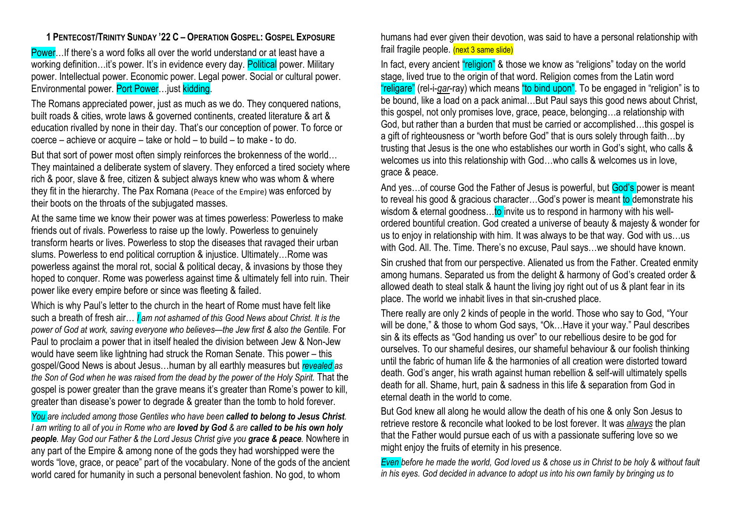## **1 PENTECOST/TRINITY SUNDAY '22 C – OPERATION GOSPEL: GOSPEL EXPOSURE**

Power…If there's a word folks all over the world understand or at least have a working definition...it's power. It's in evidence every day. Political power. Military power. Intellectual power. Economic power. Legal power. Social or cultural power. Environmental power. Port Power…just kidding.

The Romans appreciated power, just as much as we do. They conquered nations, built roads & cities, wrote laws & governed continents, created literature & art & education rivalled by none in their day. That's our conception of power. To force or coerce – achieve or acquire – take or hold – to build – to make - to do.

But that sort of power most often simply reinforces the brokenness of the world… They maintained a deliberate system of slavery. They enforced a tired society where rich & poor, slave & free, citizen & subject always knew who was whom & where they fit in the hierarchy. The Pax Romana (Peace of the Empire) was enforced by their boots on the throats of the subjugated masses.

At the same time we know their power was at times powerless: Powerless to make friends out of rivals. Powerless to raise up the lowly. Powerless to genuinely transform hearts or lives. Powerless to stop the diseases that ravaged their urban slums. Powerless to end political corruption & injustice. Ultimately…Rome was powerless against the moral rot, social & political decay, & invasions by those they hoped to conquer. Rome was powerless against time & ultimately fell into ruin. Their power like every empire before or since was fleeting & failed.

Which is why Paul's letter to the church in the heart of Rome must have felt like such a breath of fresh air… *I am not ashamed of this Good News about Christ. It is the power of God at work, saving everyone who believes—the Jew first & also the Gentile.* For Paul to proclaim a power that in itself healed the division between Jew & Non-Jew would have seem like lightning had struck the Roman Senate. This power – this gospel/Good News is about Jesus…human by all earthly measures but *revealed as the Son of God when he was raised from the dead by the power of the Holy Spirit.* That the gospel is power greater than the grave means it's greater than Rome's power to kill, greater than disease's power to degrade & greater than the tomb to hold forever.

*You are included among those Gentiles who have been called to belong to Jesus Christ. I am writing to all of you in Rome who are loved by God & are called to be his own holy people. May God our Father & the Lord Jesus Christ give you grace & peace.* Nowhere in any part of the Empire & among none of the gods they had worshipped were the words "love, grace, or peace" part of the vocabulary. None of the gods of the ancient world cared for humanity in such a personal benevolent fashion. No god, to whom

humans had ever given their devotion, was said to have a personal relationship with frail fragile people. (next 3 same slide)

In fact, every ancient "religion" & those we know as "religions" today on the world stage, lived true to the origin of that word. Religion comes from the Latin word "religare" (rel-i-*gar*-ray) which means "to bind upon". To be engaged in "religion" is to be bound, like a load on a pack animal…But Paul says this good news about Christ, this gospel, not only promises love, grace, peace, belonging…a relationship with God, but rather than a burden that must be carried or accomplished…this gospel is a gift of righteousness or "worth before God" that is ours solely through faith…by trusting that Jesus is the one who establishes our worth in God's sight, who calls & welcomes us into this relationship with God…who calls & welcomes us in love, grace & peace.

And yes... of course God the Father of Jesus is powerful, but God's power is meant to reveal his good & gracious character...God's power is meant to demonstrate his wisdom & eternal goodness... to invite us to respond in harmony with his wellordered bountiful creation. God created a universe of beauty & majesty & wonder for us to enjoy in relationship with him. It was always to be that way. God with us…us with God. All. The. Time. There's no excuse, Paul says…we should have known.

Sin crushed that from our perspective. Alienated us from the Father. Created enmity among humans. Separated us from the delight & harmony of God's created order & allowed death to steal stalk & haunt the living joy right out of us & plant fear in its place. The world we inhabit lives in that sin-crushed place.

There really are only 2 kinds of people in the world. Those who say to God, "Your will be done," & those to whom God says, "Ok…Have it your way." Paul describes sin & its effects as "God handing us over" to our rebellious desire to be god for ourselves. To our shameful desires, our shameful behaviour & our foolish thinking until the fabric of human life & the harmonies of all creation were distorted toward death. God's anger, his wrath against human rebellion & self-will ultimately spells death for all. Shame, hurt, pain & sadness in this life & separation from God in eternal death in the world to come.

But God knew all along he would allow the death of his one & only Son Jesus to retrieve restore & reconcile what looked to be lost forever. It was *always* the plan that the Father would pursue each of us with a passionate suffering love so we might enjoy the fruits of eternity in his presence.

*Even before he made the world, God loved us & chose us in Christ to be holy & without fault in his eyes. God decided in advance to adopt us into his own family by bringing us to*